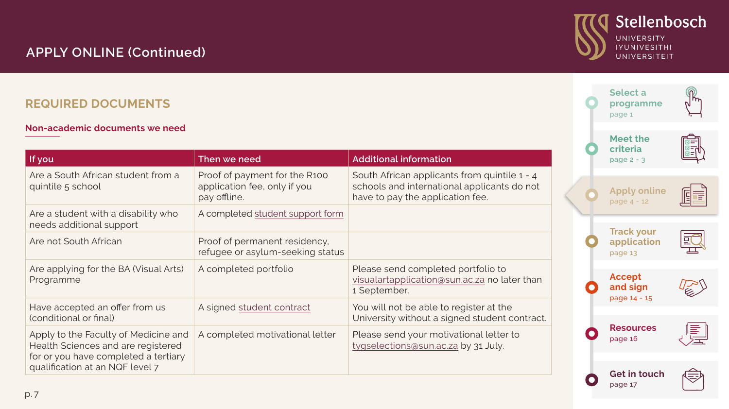# <span id="page-0-0"></span>**APPLY ONLINE (Continued)**

### **REQUIRED DOCUMENTS**

#### **Non-academic documents we need**

| If you                                                                                                                                                | Then we need                                                                  | <b>Additional information</b>                                                                                                   |
|-------------------------------------------------------------------------------------------------------------------------------------------------------|-------------------------------------------------------------------------------|---------------------------------------------------------------------------------------------------------------------------------|
| Are a South African student from a<br>quintile 5 school                                                                                               | Proof of payment for the R100<br>application fee, only if you<br>pay offline. | South African applicants from quintile 1 - 4<br>schools and international applicants do not<br>have to pay the application fee. |
| Are a student with a disability who<br>needs additional support                                                                                       | A completed student support form                                              |                                                                                                                                 |
| Are not South African                                                                                                                                 | Proof of permanent residency,<br>refugee or asylum-seeking status             |                                                                                                                                 |
| Are applying for the BA (Visual Arts)<br>Programme                                                                                                    | A completed portfolio                                                         | Please send completed portfolio to<br>visualartapplication@sun.ac.za no later than<br>1 September.                              |
| Have accepted an offer from us<br>(conditional or final)                                                                                              | A signed student contract                                                     | You will not be able to register at the<br>University without a signed student contract.                                        |
| Apply to the Faculty of Medicine and<br>Health Sciences and are registered<br>for or you have completed a tertiary<br>qualification at an NQF level 7 | A completed motivational letter                                               | Please send your motivational letter to<br>tygselections@sun.ac.za by 31 July.                                                  |



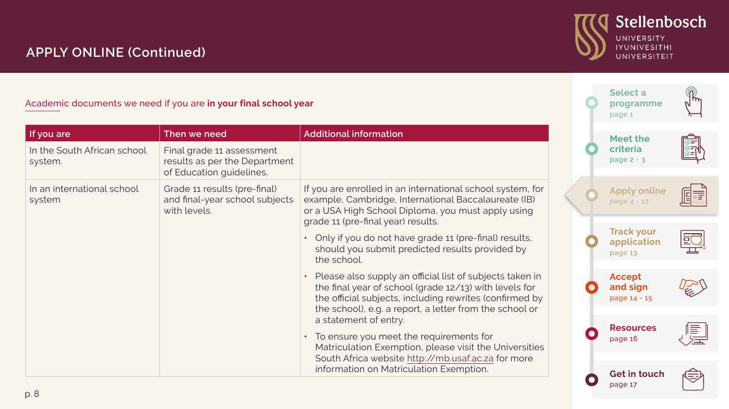

مضر<br>G

 $\sqrt{10}$ 

**[programme](#page--1-0)** [page 1](#page--1-0) 

 $\widetilde{\mathcal{F}}$ 

[page 17](#page-10-0)

## **APPLY ONLINE (Continued)**

#### Academic documents we need if you are **in your final school year**

| If you are                             | Then we need                                                                           | <b>Additional information</b>                                                                                                                                                                                  |  | Meet the                                    |     |
|----------------------------------------|----------------------------------------------------------------------------------------|----------------------------------------------------------------------------------------------------------------------------------------------------------------------------------------------------------------|--|---------------------------------------------|-----|
| In the South African school<br>system. | Final grade 11 assessment<br>results as per the Department<br>of Education guidelines. |                                                                                                                                                                                                                |  | criteria<br>page $2 - 3$                    | Fis |
| In an international school<br>system   | Grade 11 results (pre-final)<br>and final-year school subjects<br>with levels.         | If you are enrolled in an international school system, for<br>example, Cambridge, International Baccalaureate (IB)<br>or a USA High School Diploma, you must apply using<br>grade 11 (pre-final year) results. |  | <b>Apply online</b><br>page 4 - 12          | 喧喜  |
|                                        |                                                                                        | Only if you do not have grade 11 (pre-final) results,<br>should you submit predicted results provided by<br>the school.                                                                                        |  | <b>Track your</b><br>application<br>page 13 | EC  |
|                                        |                                                                                        | Please also supply an official list of subjects taken in<br>the final year of school (grade 12/13) with levels for<br>the official subjects, including rewrites (confirmed by                                  |  | Accept<br>and sign<br>page 14 - 15          |     |
|                                        |                                                                                        | the school), e.g. a report, a letter from the school or<br>a statement of entry.                                                                                                                               |  |                                             |     |
|                                        |                                                                                        | To ensure you meet the requirements for<br>Matriculation Exemption, please visit the Universities                                                                                                              |  | <b>Resources</b><br>page 16                 |     |
|                                        |                                                                                        | South Africa website http://mb.usaf.ac.za for more<br>information on Matriculation Exemption.                                                                                                                  |  | Get in touch                                |     |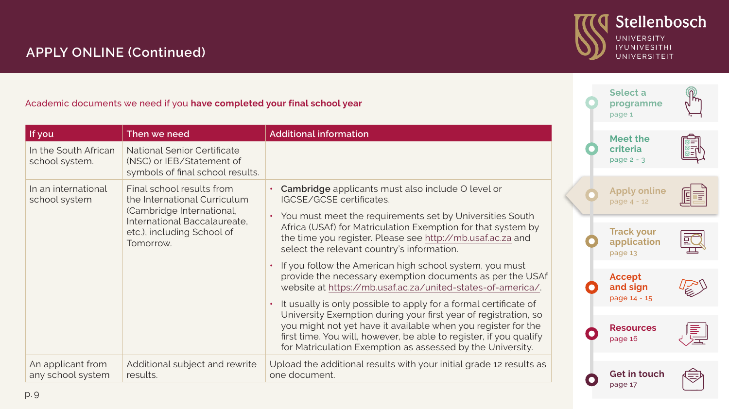# Stellenbosch UNIVERSITY<br>IYUNIVESITHI<br>UNIVERSITEIT

مضر<br>G

 $\sqrt{10}$ 

**[programme](#page--1-0)** [page 1](#page--1-0) 

(W)

# **APPLY ONLINE (Continued)**

Academic documents we need if you **have completed your final school year**

| If you                                                                  | Then we need                                                                                                                                                             | <b>Additional information</b>                                                                                                                                                                                                                                                                                                            |                                             | Meet the                                    |    |
|-------------------------------------------------------------------------|--------------------------------------------------------------------------------------------------------------------------------------------------------------------------|------------------------------------------------------------------------------------------------------------------------------------------------------------------------------------------------------------------------------------------------------------------------------------------------------------------------------------------|---------------------------------------------|---------------------------------------------|----|
| In the South African<br>school system.                                  | National Senior Certificate<br>(NSC) or IEB/Statement of<br>symbols of final school results.                                                                             |                                                                                                                                                                                                                                                                                                                                          |                                             | criteria<br>page $2 - 3$                    |    |
| In an international<br>school system                                    | Final school results from<br>the International Curriculum<br>(Cambridge International,                                                                                   | Cambridge applicants must also include O level or<br>IGCSE/GCSE certificates.<br>• You must meet the requirements set by Universities South                                                                                                                                                                                              |                                             | <b>Apply online</b><br>page 4 - 12          | Ē  |
| International Baccalaureate,<br>etc.), including School of<br>Tomorrow. | Africa (USAf) for Matriculation Exemption for that system by<br>the time you register. Please see http://mb.usaf.ac.za and<br>select the relevant country's information. |                                                                                                                                                                                                                                                                                                                                          | <b>Track your</b><br>application<br>page 13 | 豇                                           |    |
|                                                                         |                                                                                                                                                                          | If you follow the American high school system, you must<br>provide the necessary exemption documents as per the USAf<br>website at https://mb.usaf.ac.za/united-states-of-america/.                                                                                                                                                      |                                             | Accept<br>and sign                          |    |
|                                                                         |                                                                                                                                                                          | It usually is only possible to apply for a formal certificate of<br>University Exemption during your first year of registration, so<br>you might not yet have it available when you register for the<br>first time. You will, however, be able to register, if you qualify<br>for Matriculation Exemption as assessed by the University. |                                             | page 14 - 15<br><b>Resources</b><br>page 16 | F. |
| An applicant from<br>any school system                                  | Additional subject and rewrite<br>results.                                                                                                                               | Upload the additional results with your initial grade 12 results as<br>one document.                                                                                                                                                                                                                                                     |                                             | <b>Get in touch</b><br>page 17              | 今  |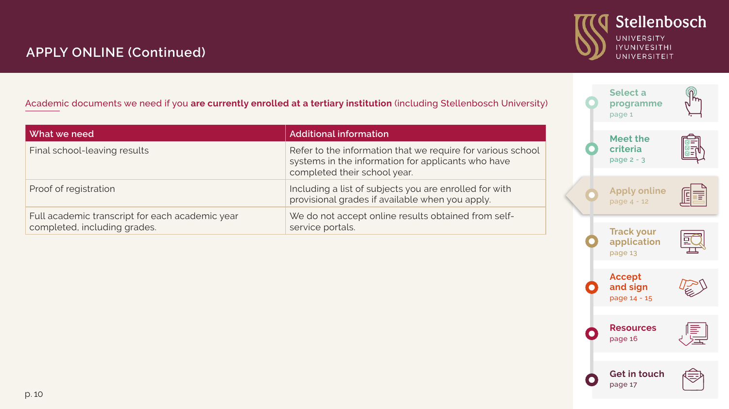

سمبر<br>Selection<br>On the above a red of the above a *a* 

 $\sqrt{10}$ 

**[programme](#page--1-0)** [page 1](#page--1-0) 

 $\widetilde{\mathfrak{m}}$ 

## **APPLY ONLINE (Continued)**

Academic documents we need if you **are currently enrolled at a tertiary institution** (including Stellenbosch University)

| l What we need                                                                  | <b>Additional information</b>                                                                                                                     |  |  | Meet the                           |               |
|---------------------------------------------------------------------------------|---------------------------------------------------------------------------------------------------------------------------------------------------|--|--|------------------------------------|---------------|
| Final school-leaving results                                                    | Refer to the information that we require for various school<br>systems in the information for applicants who have<br>completed their school year. |  |  | criteria<br>page $2 - 3$           | E             |
| Proof of registration                                                           | Including a list of subjects you are enrolled for with<br>provisional grades if available when you apply.                                         |  |  | <b>Apply online</b><br>page 4 - 12 | FF            |
| Full academic transcript for each academic year<br>completed, including grades. | We do not accept online results obtained from self-<br>service portals.                                                                           |  |  | <b>Track your</b>                  | $\Rightarrow$ |

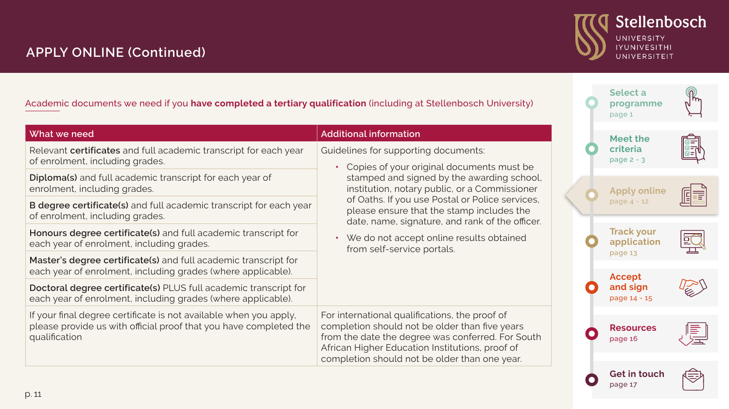

مضر<br>Dec

 $n \sqrt{n}$ 

侗 Έ

巨

匡

**[programme](#page--1-0)** [page 1](#page--1-0) 

(W)

[page 17](#page-10-0)

# **APPLY ONLINE (Continued)**

Academic documents we need if you **have completed a tertiary qualification** (including at Stellenbosch University)

| What we need                                                                                                                                            | <b>Additional information</b>                                                                                                                                                                                                                             | Meet the                         |                   |
|---------------------------------------------------------------------------------------------------------------------------------------------------------|-----------------------------------------------------------------------------------------------------------------------------------------------------------------------------------------------------------------------------------------------------------|----------------------------------|-------------------|
| Relevant certificates and full academic transcript for each year<br>of enrolment, including grades.                                                     | Guidelines for supporting documents:<br>Copies of your original documents must be<br>$\bullet$                                                                                                                                                            | criteria<br>page $2 - 3$         |                   |
| Diploma(s) and full academic transcript for each year of<br>enrolment, including grades.                                                                | stamped and signed by the awarding school,<br>institution, notary public, or a Commissioner                                                                                                                                                               | <b>Apply online</b>              |                   |
| B degree certificate(s) and full academic transcript for each year<br>of enrolment, including grades.                                                   | of Oaths. If you use Postal or Police services,<br>please ensure that the stamp includes the<br>date, name, signature, and rank of the officer.<br>We do not accept online results obtained<br>$\bullet$<br>from self-service portals.                    | page $4 - 12$                    |                   |
| Honours degree certificate(s) and full academic transcript for<br>each year of enrolment, including grades.                                             |                                                                                                                                                                                                                                                           | <b>Track your</b><br>application |                   |
| Master's degree certificate(s) and full academic transcript for<br>each year of enrolment, including grades (where applicable).                         |                                                                                                                                                                                                                                                           |                                  | page 13<br>Accept |
| Doctoral degree certificate(s) PLUS full academic transcript for<br>each year of enrolment, including grades (where applicable).                        |                                                                                                                                                                                                                                                           | and sign<br>page 14 - 15         |                   |
| If your final degree certificate is not available when you apply,<br>please provide us with official proof that you have completed the<br>qualification | For international qualifications, the proof of<br>completion should not be older than five years<br>from the date the degree was conferred. For South<br>African Higher Education Institutions, proof of<br>completion should not be older than one year. | <b>Resources</b><br>page 16      |                   |
|                                                                                                                                                         |                                                                                                                                                                                                                                                           | <b>Get in touch</b>              |                   |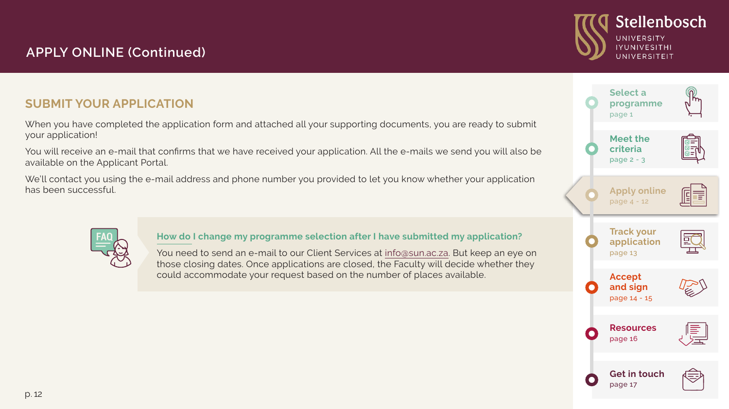# **APPLY ONLINE (Continued)**

### **SUBMIT YOUR APPLICATION**

When you have completed the application form and attached all your supporting documents, you are ready to submit your application!

You will receive an e-mail that confirms that we have received your application. All the e-mails we send you will also be available on the Applicant Portal.

We'll contact you using the e-mail address and phone number you provided to let you know whether your application has been successful.



**How do I change my programme selection after I have submitted my application?**

You need to send an e-mail to our Client Services at [info@sun.ac.za.](mailto:info%40sun.ac.za?subject=Change%20of%20Programme%20Selection) But keep an eye on those closing dates. Once applications are closed, the Faculty will decide whether they could accommodate your request based on the number of places available.



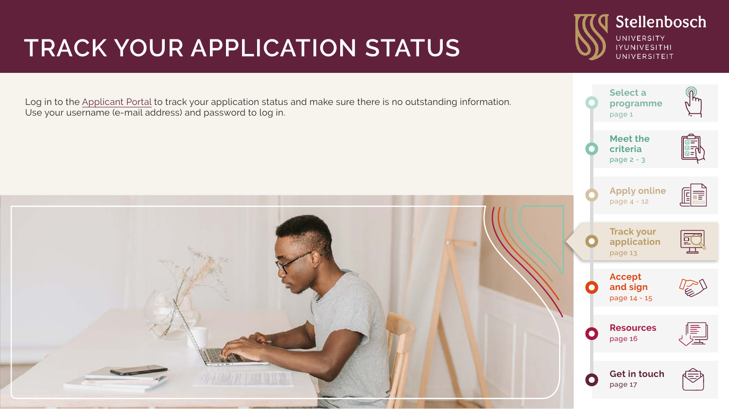# <span id="page-6-0"></span>**TRACK YOUR APPLICATION STATUS**

Log in to the [Applicant Portal](https://student.sun.ac.za/applicant-portal/#/auth/login) to track your application status and make sure there is no outstanding information. Use your username (e-mail address) and password to log in.



**Selec[t a](#page--1-0)  [programme](#page--1-0)** [page 1](#page--1-0) 

UNIVERSITY **IYUNIVESITHI** UNIVERSITEIT

Stellenbosch

**[Meet the](#page--1-0) [criteria](#page--1-0)**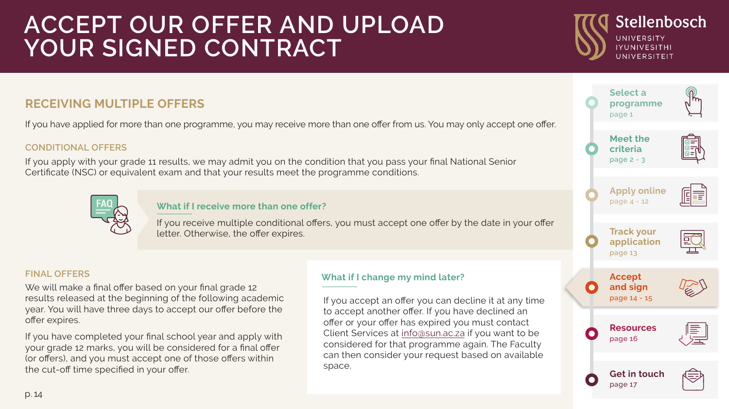# <span id="page-7-0"></span>**ACCEPT OUR OFFER AND UPLOAD YOUR SIGNED CONTRACT**

### **RECEIVING MULTIPLE OFFERS**

If you have applied for more than one programme, you may receive more than one offer from us. You may only accept one offer.

#### **CONDITIONAL OFFERS**

If you apply with your grade 11 results, we may admit you on the condition that you pass your final National Senior Certificate (NSC) or equivalent exam and that your results meet the programme conditions.



#### **What if I receive more than one offer?**

If you receive multiple conditional offers, you must accept one offer by the date in your offer letter. Otherwise, the offer expires.

#### **FINAL OFFERS**

We will make a final offer based on your final grade 12 results released at the beginning of the following academic year. You will have three days to accept our offer before the offer expires.

If you have completed your final school year and apply with your grade 12 marks, you will be considered for a final offer (or offers), and you must accept one of those offers within the cut-off time specified in your offer.

#### **What if I change my mind later?**

If you accept an offer you can decline it at any time to accept another offer. If you have declined an offer or your offer has expired you must contact Client Services at [info@sun.ac.za](mailto:info%40sun.ac.za?subject=) if you want to be considered for that programme again. The Faculty can then consider your request based on available space.



Stellenbosch

UNIVERSITY **IYUNIVESITHI**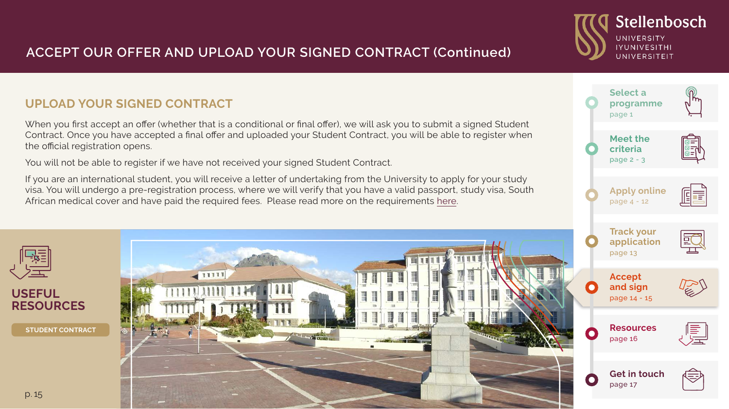## **ACCEPT OUR OFFER AND UPLOAD YOUR SIGNED CONTRACT (Continued)**

### **UPLOAD YOUR SIGNED CONTRACT**

When you first accept an offer (whether that is a conditional or final offer), we will ask you to submit a signed Student Contract. Once you have accepted a final offer and uploaded your Student Contract, you will be able to register when the official registration opens.

You will not be able to register if we have not received your signed Student Contract.

If you are an international student, you will receive a letter of undertaking from the University to apply for your study visa. You will undergo a pre-registration process, where we will verify that you have a valid passport, study visa, South African medical cover and have paid the required fees. Please read more on the requirements [here.](http://www.sun.ac.za/english/SUInternational/international-students/visa-information)



**Selec[t a](#page--1-0)  [programme](#page--1-0)** [page 1](#page--1-0) 

UNIVERSITY **IYUNIVESITHI** UNIVERSITEIT

Stellenbosch

**[Meet the](#page--1-0) [criteria](#page--1-0)**  [page](#page--1-0) 2 - 3

**[Apply online](#page--1-0)**  [page 4 -](#page--1-0) 12

间重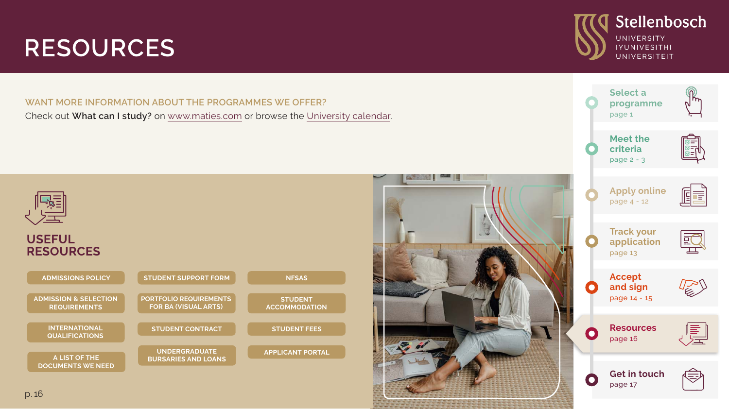# <span id="page-9-0"></span>**RESOURCES**

**WANT MORE INFORMATION ABOUT THE PROGRAMMES WE OFFER?** Check out **What can I study?** on [www.maties.com](http://www.sun.ac.za/english/maties) or browse the [University calendar](http://www.sun.ac.za/english/faculty/Pages/Calendar.aspx).





Stellenbosch

UNIVERSITY **IYUNIVESITHI** UNIVERSITEIT

**USEFUL RESOURCES**